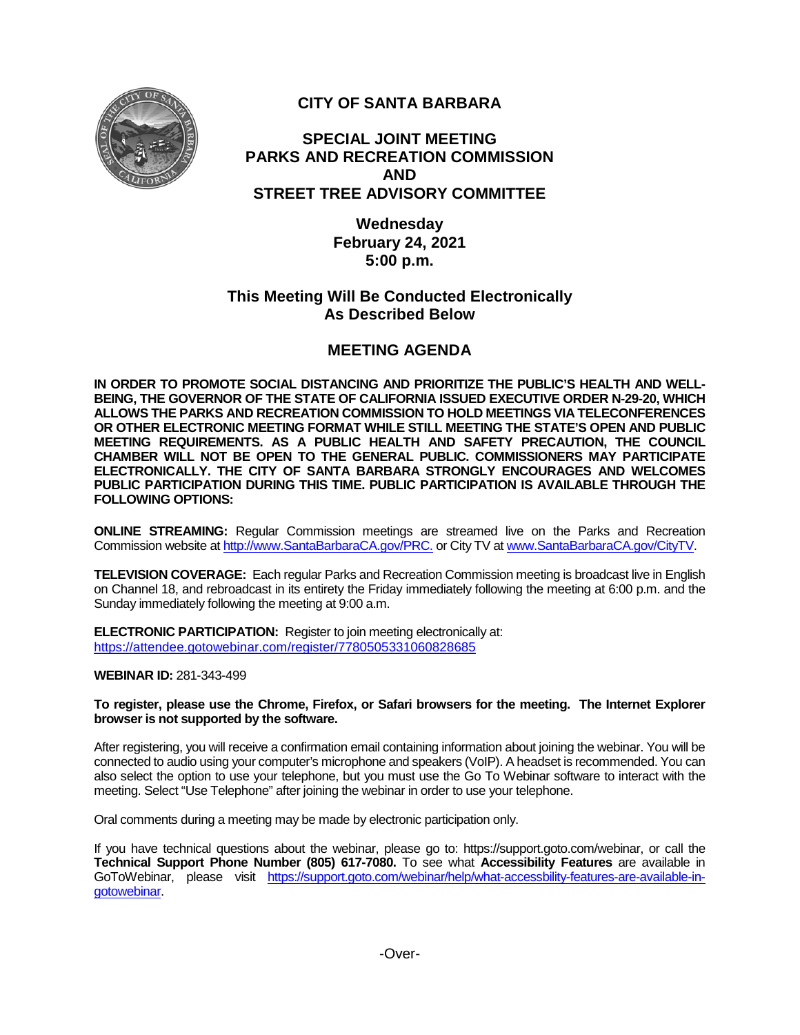

# **CITY OF SANTA BARBARA**

### **SPECIAL JOINT MEETING PARKS AND RECREATION COMMISSION AND STREET TREE ADVISORY COMMITTEE**

**Wednesday February 24, 2021 5:00 p.m.**

### **This Meeting Will Be Conducted Electronically As Described Below**

# **MEETING AGENDA**

**IN ORDER TO PROMOTE SOCIAL DISTANCING AND PRIORITIZE THE PUBLIC'S HEALTH AND WELL-BEING, THE GOVERNOR OF THE STATE OF CALIFORNIA ISSUED EXECUTIVE ORDER N-29-20, WHICH ALLOWS THE PARKS AND RECREATION COMMISSION TO HOLD MEETINGS VIA TELECONFERENCES OR OTHER ELECTRONIC MEETING FORMAT WHILE STILL MEETING THE STATE'S OPEN AND PUBLIC MEETING REQUIREMENTS. AS A PUBLIC HEALTH AND SAFETY PRECAUTION, THE COUNCIL CHAMBER WILL NOT BE OPEN TO THE GENERAL PUBLIC. COMMISSIONERS MAY PARTICIPATE ELECTRONICALLY. THE CITY OF SANTA BARBARA STRONGLY ENCOURAGES AND WELCOMES PUBLIC PARTICIPATION DURING THIS TIME. PUBLIC PARTICIPATION IS AVAILABLE THROUGH THE FOLLOWING OPTIONS:**

**ONLINE STREAMING:** Regular Commission meetings are streamed live on the Parks and Recreation Commission website at [http://www.SantaBarbaraCA.gov/PRC.](http://www.santabarbaraca.gov/PRC) or City TV at [www.SantaBarbaraCA.gov/CityTV.](http://www.santabarbaraca.gov/CityTV)

**TELEVISION COVERAGE:** Each regular Parks and Recreation Commission meeting is broadcast live in English on Channel 18, and rebroadcast in its entirety the Friday immediately following the meeting at 6:00 p.m. and the Sunday immediately following the meeting at 9:00 a.m.

**ELECTRONIC PARTICIPATION:** Register to join meeting electronically at: <https://attendee.gotowebinar.com/register/7780505331060828685>

**WEBINAR ID:** 281-343-499

**To register, please use the Chrome, Firefox, or Safari browsers for the meeting. The Internet Explorer browser is not supported by the software.**

After registering, you will receive a confirmation email containing information about joining the webinar. You will be connected to audio using your computer's microphone and speakers (VoIP). A headset is recommended. You can also select the option to use your telephone, but you must use the Go To Webinar software to interact with the meeting. Select "Use Telephone" after joining the webinar in order to use your telephone.

Oral comments during a meeting may be made by electronic participation only.

If you have technical questions about the webinar, please go to: https://support.goto.com/webinar, or call the **Technical Support Phone Number (805) 617-7080.** To see what **Accessibility Features** are available in GoToWebinar, please visit [https://support.goto.com/webinar/help/what-accessbility-features-are-available-in](https://support.goto.com/webinar/help/what-accessbility-features-are-available-in-gotowebinar)[gotowebinar.](https://support.goto.com/webinar/help/what-accessbility-features-are-available-in-gotowebinar)